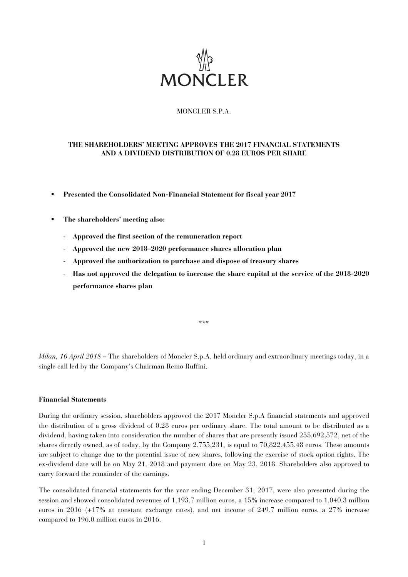

# MONCLER S.P.A.

# **THE SHAREHOLDERS' MEETING APPROVES THE 2017 FINANCIAL STATEMENTS AND A DIVIDEND DISTRIBUTION OF 0.28 EUROS PER SHARE**

- **Presented the Consolidated Non-Financial Statement for fiscal year 2017**
- **The shareholders' meeting also:** 
	- **Approved the first section of the remuneration report**
	- **Approved the new 2018–2020 performance shares allocation plan**
	- **Approved the authorization to purchase and dispose of treasury shares**
	- **Has not approved the delegation to increase the share capital at the service of the 2018-2020 performance shares plan**

\*\*\*

*Milan, 16 April 2018 –* The shareholders of Moncler S.p.A. held ordinary and extraordinary meetings today, in a single call led by the Company's Chairman Remo Ruffini.

#### **Financial Statements**

During the ordinary session, shareholders approved the 2017 Moncler S.p.A financial statements and approved the distribution of a gross dividend of 0.28 euros per ordinary share. The total amount to be distributed as a dividend, having taken into consideration the number of shares that are presently issued 255,692,572, net of the shares directly owned, as of today, by the Company 2,755,231, is equal to 70,822,455.48 euros. These amounts are subject to change due to the potential issue of new shares, following the exercise of stock option rights. The ex-dividend date will be on May 21, 2018 and payment date on May 23, 2018. Shareholders also approved to carry forward the remainder of the earnings.

The consolidated financial statements for the year ending December 31, 2017, were also presented during the session and showed consolidated revenues of 1,193.7 million euros, a 15% increase compared to 1,040.3 million euros in 2016 (+17% at constant exchange rates), and net income of 249.7 million euros, a 27% increase compared to 196.0 million euros in 2016.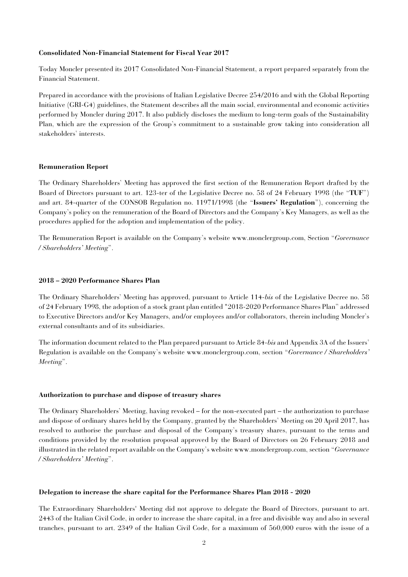#### **Consolidated Non-Financial Statement for Fiscal Year 2017**

Today Moncler presented its 2017 Consolidated Non-Financial Statement, a report prepared separately from the Financial Statement.

Prepared in accordance with the provisions of Italian Legislative Decree 254/2016 and with the Global Reporting Initiative (GRI-G4) guidelines, the Statement describes all the main social, environmental and economic activities performed by Moncler during 2017. It also publicly discloses the medium to long-term goals of the Sustainability Plan, which are the expression of the Group's commitment to a sustainable grow taking into consideration all stakeholders' interests.

#### **Remuneration Report**

The Ordinary Shareholders' Meeting has approved the first section of the Remuneration Report drafted by the Board of Directors pursuant to art. 123-ter of the Legislative Decree no. 58 of 24 February 1998 (the "**TUF**") and art. 84-quarter of the CONSOB Regulation no. 11971/1998 (the "**Issuers' Regulation**"), concerning the Company's policy on the remuneration of the Board of Directors and the Company's Key Managers, as well as the procedures applied for the adoption and implementation of the policy.

The Remuneration Report is available on the Company's website www.monclergroup.com, Section "*Governance / Shareholders' Meeting*".

## **2018 – 2020 Performance Shares Plan**

The Ordinary Shareholders' Meeting has approved, pursuant to Article 114-*bis* of the Legislative Decree no. 58 of 24 February 1998, the adoption of a stock grant plan entitled "2018-2020 Performance Shares Plan" addressed to Executive Directors and/or Key Managers, and/or employees and/or collaborators, therein including Moncler's external consultants and of its subsidiaries.

The information document related to the Plan prepared pursuant to Article 84-*bis* and Appendix 3A of the Issuers' Regulation is available on the Company's website www.monclergroup.com, section "*Governance / Shareholders' Meeting*".

#### **Authorization to purchase and dispose of treasury shares**

The Ordinary Shareholders' Meeting, having revoked – for the non-executed part – the authorization to purchase and dispose of ordinary shares held by the Company, granted by the Shareholders' Meeting on 20 April 2017, has resolved to authorise the purchase and disposal of the Company's treasury shares, pursuant to the terms and conditions provided by the resolution proposal approved by the Board of Directors on 26 February 2018 and illustrated in the related report available on the Company's website www.monclergroup.com, section "*Governance / Shareholders' Meeting*".

#### **Delegation to increase the share capital for the Performance Shares Plan 2018 - 2020**

The Extraordinary Shareholders' Meeting did not approve to delegate the Board of Directors, pursuant to art. 2443 of the Italian Civil Code, in order to increase the share capital, in a free and divisible way and also in several tranches, pursuant to art. 2349 of the Italian Civil Code, for a maximum of 560,000 euros with the issue of a